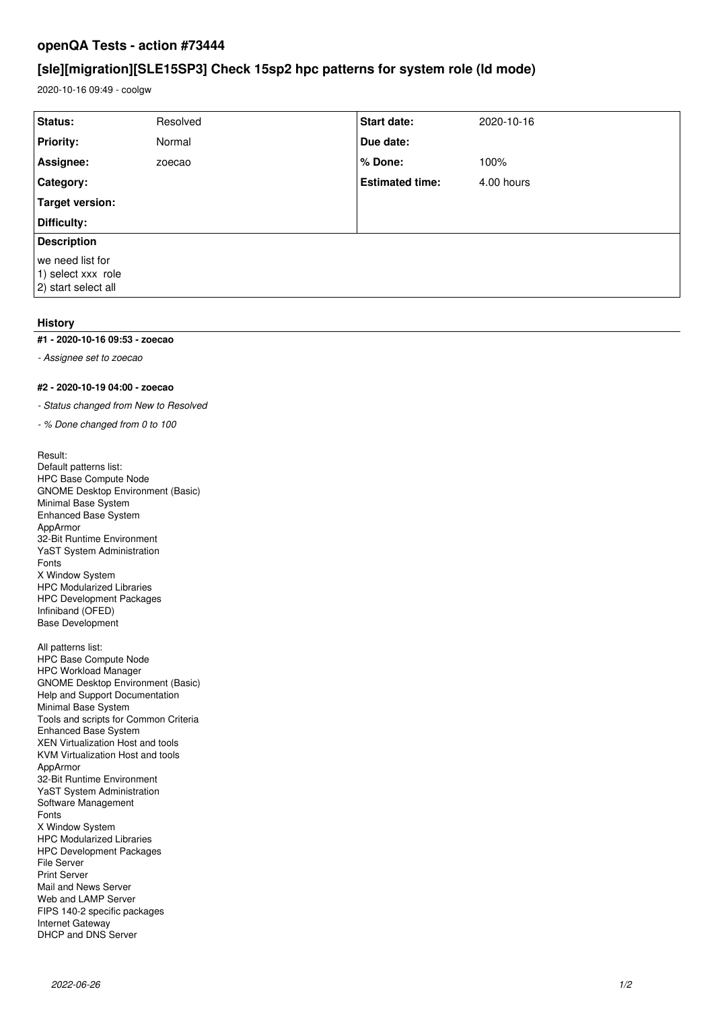## **openQA Tests - action #73444**

# **[sle][migration][SLE15SP3] Check 15sp2 hpc patterns for system role (ld mode)**

2020-10-16 09:49 - coolgw

| Status:             | Resolved | <b>Start date:</b>     | 2020-10-16 |
|---------------------|----------|------------------------|------------|
| <b>Priority:</b>    | Normal   | Due date:              |            |
| Assignee:           | zoecao   | % Done:                | 100%       |
| Category:           |          | <b>Estimated time:</b> | 4.00 hours |
| Target version:     |          |                        |            |
| Difficulty:         |          |                        |            |
| <b>Description</b>  |          |                        |            |
| we need list for    |          |                        |            |
| 1) select xxx role  |          |                        |            |
| 2) start select all |          |                        |            |
|                     |          |                        |            |

## **History**

#### **#1 - 2020-10-16 09:53 - zoecao**

*- Assignee set to zoecao*

### **#2 - 2020-10-19 04:00 - zoecao**

*- Status changed from New to Resolved*

*- % Done changed from 0 to 100*

Result: Default patterns list: HPC Base Compute Node GNOME Desktop Environment (Basic) Minimal Base System Enhanced Base System AppArmor 32-Bit Runtime Environment YaST System Administration Fonts X Window System HPC Modularized Libraries HPC Development Packages Infiniband (OFED) Base Development

All patterns list: HPC Base Compute Node HPC Workload Manager GNOME Desktop Environment (Basic) Help and Support Documentation Minimal Base System Tools and scripts for Common Criteria Enhanced Base System XEN Virtualization Host and tools KVM Virtualization Host and tools AppArmor 32-Bit Runtime Environment YaST System Administration Software Management Fonts X Window System HPC Modularized Libraries HPC Development Packages File Server Print Server Mail and News Server Web and LAMP Server FIPS 140-2 specific packages Internet Gateway DHCP and DNS Server